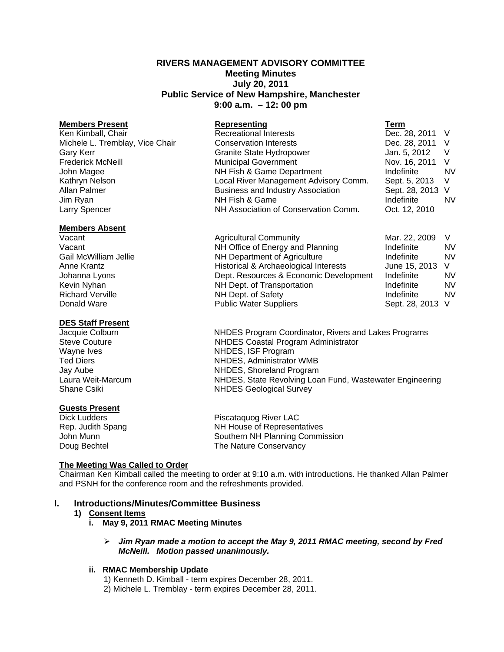# **RIVERS MANAGEMENT ADVISORY COMMITTEE Meeting Minutes July 20, 2011 Public Service of New Hampshire, Manchester 9:00 a.m. – 12: 00 pm**

| <b>Members Present</b>          | Representing                             | Term             |           |
|---------------------------------|------------------------------------------|------------------|-----------|
| Ken Kimball, Chair              | <b>Recreational Interests</b>            | Dec. 28, 2011 V  |           |
| Michele L. Tremblay, Vice Chair | <b>Conservation Interests</b>            | Dec. 28, 2011    | - V       |
| Gary Kerr                       | <b>Granite State Hydropower</b>          | Jan. 5, 2012     | $\vee$    |
| <b>Frederick McNeill</b>        | <b>Municipal Government</b>              | Nov. 16, 2011    | - V       |
| John Magee                      | NH Fish & Game Department                | Indefinite       | <b>NV</b> |
| Kathryn Nelson                  | Local River Management Advisory Comm.    | Sept. 5, 2013 V  |           |
| Allan Palmer                    | <b>Business and Industry Association</b> | Sept. 28, 2013 V |           |
| Jim Ryan                        | NH Fish & Game                           | Indefinite       | <b>NV</b> |
| Larry Spencer                   | NH Association of Conservation Comm.     | Oct. 12, 2010    |           |

#### **Members Absent**

Vacant **Agricultural Community** Mar. 22, 2009 V Vacant Vacant **NH Office of Energy and Planning** Indefinite NV<br>
Gail McWilliam Jellie **Indefinite** NV NH Department of Agriculture Indefinite Indefinite Anne Krantz **Historical & Archaeological Interests** June 15, 2013 V Johanna Lyons Dept. Resources & Economic Development Indefinite NV Kevin Nyhan **NH Dept.** of Transportation **Indefinite** NV Richard Verville **NH Dept. of Safety** The Sept. 28, 2013 V<br>
Richard Verville **Indefinite** NV<br>
Public Water Suppliers **Indefinite** Sept. 28, 2013 V Public Water Suppliers Sept. 28, 2013 V

# **DES Staff Present**

### **Guests Present**

Jacquie Colburn NHDES Program Coordinator, Rivers and Lakes Programs Steve Couture NHDES Coastal Program Administrator Wayne Ives **NHDES**, ISF Program Ted Diers **NHDES**, Administrator WMB Jay Aube NHDES, Shoreland Program Laura Weit-Marcum NHDES, State Revolving Loan Fund, Wastewater Engineering Shane Csiki NHDES Geological Survey

Dick Ludders **Piscataquog River LAC** Rep. Judith Spang NH House of Representatives John Munn **Southern NH Planning Commission** Doug Bechtel **The Nature Conservancy** 

#### **The Meeting Was Called to Order**

Chairman Ken Kimball called the meeting to order at 9:10 a.m. with introductions. He thanked Allan Palmer and PSNH for the conference room and the refreshments provided.

#### **I. Introductions/Minutes/Committee Business**

#### **1) Consent Items**

- **i. May 9, 2011 RMAC Meeting Minutes** 
	- ¾ *Jim Ryan made a motion to accept the May 9, 2011 RMAC meeting, second by Fred McNeill. Motion passed unanimously.*

## **ii. RMAC Membership Update**

1) Kenneth D. Kimball - term expires December 28, 2011. 2) Michele L. Tremblay - term expires December 28, 2011.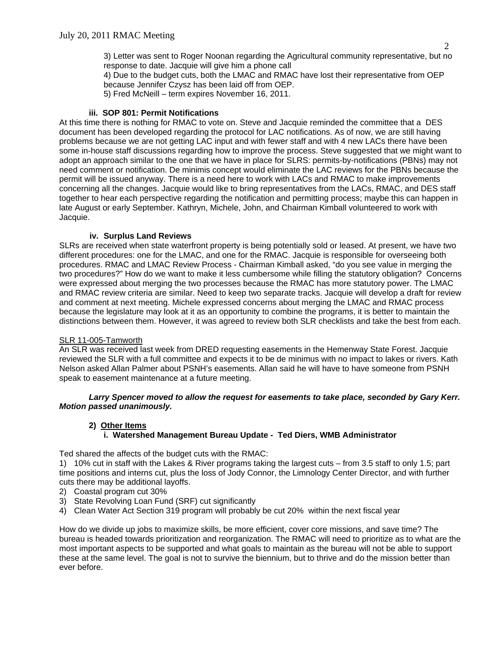3) Letter was sent to Roger Noonan regarding the Agricultural community representative, but no response to date. Jacquie will give him a phone call

4) Due to the budget cuts, both the LMAC and RMAC have lost their representative from OEP because Jennifer Czysz has been laid off from OEP.

5) Fred McNeill – term expires November 16, 2011.

## **iii. SOP 801: Permit Notifications**

At this time there is nothing for RMAC to vote on. Steve and Jacquie reminded the committee that a DES document has been developed regarding the protocol for LAC notifications. As of now, we are still having problems because we are not getting LAC input and with fewer staff and with 4 new LACs there have been some in-house staff discussions regarding how to improve the process. Steve suggested that we might want to adopt an approach similar to the one that we have in place for SLRS: permits-by-notifications (PBNs) may not need comment or notification. De minimis concept would eliminate the LAC reviews for the PBNs because the permit will be issued anyway. There is a need here to work with LACs and RMAC to make improvements concerning all the changes. Jacquie would like to bring representatives from the LACs, RMAC, and DES staff together to hear each perspective regarding the notification and permitting process; maybe this can happen in late August or early September. Kathryn, Michele, John, and Chairman Kimball volunteered to work with Jacquie.

### **iv. Surplus Land Reviews**

SLRs are received when state waterfront property is being potentially sold or leased. At present, we have two different procedures: one for the LMAC, and one for the RMAC. Jacquie is responsible for overseeing both procedures. RMAC and LMAC Review Process - Chairman Kimball asked, "do you see value in merging the two procedures?" How do we want to make it less cumbersome while filling the statutory obligation? Concerns were expressed about merging the two processes because the RMAC has more statutory power. The LMAC and RMAC review criteria are similar. Need to keep two separate tracks. Jacquie will develop a draft for review and comment at next meeting. Michele expressed concerns about merging the LMAC and RMAC process because the legislature may look at it as an opportunity to combine the programs, it is better to maintain the distinctions between them. However, it was agreed to review both SLR checklists and take the best from each.

# SLR 11-005-Tamworth

An SLR was received last week from DRED requesting easements in the Hemenway State Forest. Jacquie reviewed the SLR with a full committee and expects it to be de minimus with no impact to lakes or rivers. Kath Nelson asked Allan Palmer about PSNH's easements. Allan said he will have to have someone from PSNH speak to easement maintenance at a future meeting.

*Larry Spencer moved to allow the request for easements to take place, seconded by Gary Kerr. Motion passed unanimously.*

# **2) Other Items**

# **i. Watershed Management Bureau Update - Ted Diers, WMB Administrator**

Ted shared the affects of the budget cuts with the RMAC:

1) 10% cut in staff with the Lakes & River programs taking the largest cuts – from 3.5 staff to only 1.5; part time positions and interns cut, plus the loss of Jody Connor, the Limnology Center Director, and with further cuts there may be additional layoffs.

- 2) Coastal program cut 30%
- 3) State Revolving Loan Fund (SRF) cut significantly
- 4) Clean Water Act Section 319 program will probably be cut 20% within the next fiscal year

How do we divide up jobs to maximize skills, be more efficient, cover core missions, and save time? The bureau is headed towards prioritization and reorganization. The RMAC will need to prioritize as to what are the most important aspects to be supported and what goals to maintain as the bureau will not be able to support these at the same level. The goal is not to survive the biennium, but to thrive and do the mission better than ever before.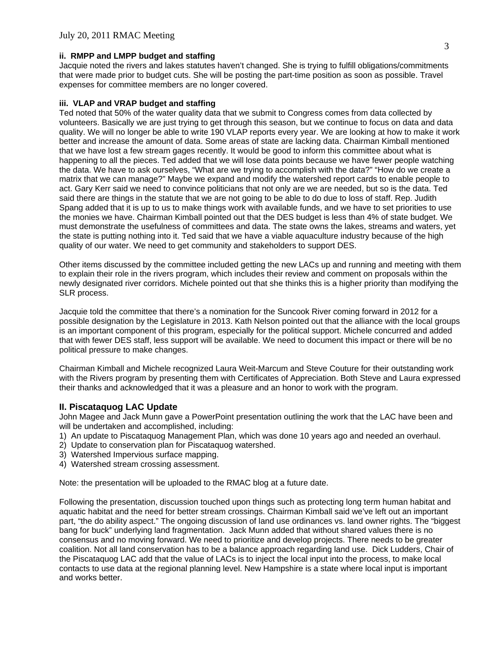### **ii. RMPP and LMPP budget and staffing**

Jacquie noted the rivers and lakes statutes haven't changed. She is trying to fulfill obligations/commitments that were made prior to budget cuts. She will be posting the part-time position as soon as possible. Travel expenses for committee members are no longer covered.

### **iii. VLAP and VRAP budget and staffing**

Ted noted that 50% of the water quality data that we submit to Congress comes from data collected by volunteers. Basically we are just trying to get through this season, but we continue to focus on data and data quality. We will no longer be able to write 190 VLAP reports every year. We are looking at how to make it work better and increase the amount of data. Some areas of state are lacking data. Chairman Kimball mentioned that we have lost a few stream gages recently. It would be good to inform this committee about what is happening to all the pieces. Ted added that we will lose data points because we have fewer people watching the data. We have to ask ourselves, "What are we trying to accomplish with the data?" "How do we create a matrix that we can manage?" Maybe we expand and modify the watershed report cards to enable people to act. Gary Kerr said we need to convince politicians that not only are we are needed, but so is the data. Ted said there are things in the statute that we are not going to be able to do due to loss of staff. Rep. Judith Spang added that it is up to us to make things work with available funds, and we have to set priorities to use the monies we have. Chairman Kimball pointed out that the DES budget is less than 4% of state budget. We must demonstrate the usefulness of committees and data. The state owns the lakes, streams and waters, yet the state is putting nothing into it. Ted said that we have a viable aquaculture industry because of the high quality of our water. We need to get community and stakeholders to support DES.

Other items discussed by the committee included getting the new LACs up and running and meeting with them to explain their role in the rivers program, which includes their review and comment on proposals within the newly designated river corridors. Michele pointed out that she thinks this is a higher priority than modifying the SLR process.

Jacquie told the committee that there's a nomination for the Suncook River coming forward in 2012 for a possible designation by the Legislature in 2013. Kath Nelson pointed out that the alliance with the local groups is an important component of this program, especially for the political support. Michele concurred and added that with fewer DES staff, less support will be available. We need to document this impact or there will be no political pressure to make changes.

Chairman Kimball and Michele recognized Laura Weit-Marcum and Steve Couture for their outstanding work with the Rivers program by presenting them with Certificates of Appreciation. Both Steve and Laura expressed their thanks and acknowledged that it was a pleasure and an honor to work with the program.

# **II. Piscataquog LAC Update**

John Magee and Jack Munn gave a PowerPoint presentation outlining the work that the LAC have been and will be undertaken and accomplished, including:

- 1) An update to Piscataquog Management Plan, which was done 10 years ago and needed an overhaul.
- 2) Update to conservation plan for Piscataquog watershed.
- 3) Watershed Impervious surface mapping.
- 4) Watershed stream crossing assessment.

Note: the presentation will be uploaded to the RMAC blog at a future date.

Following the presentation, discussion touched upon things such as protecting long term human habitat and aquatic habitat and the need for better stream crossings. Chairman Kimball said we've left out an important part, "the do ability aspect." The ongoing discussion of land use ordinances vs. land owner rights. The "biggest bang for buck" underlying land fragmentation. Jack Munn added that without shared values there is no consensus and no moving forward. We need to prioritize and develop projects. There needs to be greater coalition. Not all land conservation has to be a balance approach regarding land use. Dick Ludders, Chair of the Piscataquog LAC add that the value of LACs is to inject the local input into the process, to make local contacts to use data at the regional planning level. New Hampshire is a state where local input is important and works better.